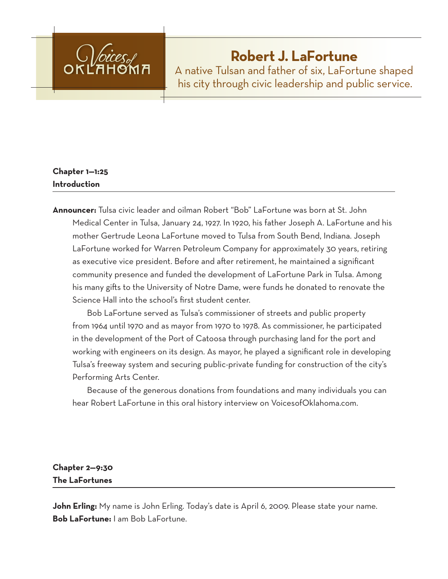

# **Robert J. LaFortune**

A native Tulsan and father of six, LaFortune shaped his city through civic leadership and public service.

# **Chapter 1—1:25 Introduction**

**Announcer:** Tulsa civic leader and oilman Robert "Bob" LaFortune was born at St. John Medical Center in Tulsa, January 24, 1927. In 1920, his father Joseph A. LaFortune and his mother Gertrude Leona LaFortune moved to Tulsa from South Bend, Indiana. Joseph LaFortune worked for Warren Petroleum Company for approximately 30 years, retiring as executive vice president. Before and after retirement, he maintained a significant community presence and funded the development of LaFortune Park in Tulsa. Among his many gifts to the University of Notre Dame, were funds he donated to renovate the Science Hall into the school's first student center.

Bob LaFortune served as Tulsa's commissioner of streets and public property from 1964 until 1970 and as mayor from 1970 to 1978. As commissioner, he participated in the development of the Port of Catoosa through purchasing land for the port and working with engineers on its design. As mayor, he played a significant role in developing Tulsa's freeway system and securing public-private funding for construction of the city's Performing Arts Center.

Because of the generous donations from foundations and many individuals you can hear Robert LaFortune in this oral history interview on VoicesofOklahoma.com.

# **Chapter 2—9:30 The LaFortunes**

John Erling: My name is John Erling. Today's date is April 6, 2009. Please state your name. **Bob LaFortune:** I am Bob LaFortune.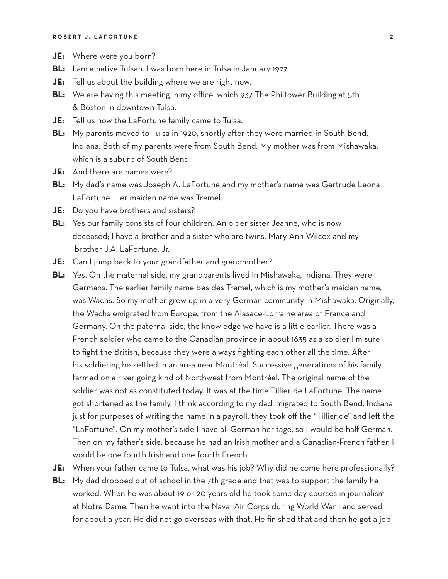- **JE:** Where were you born?
- **BL:** I am a native Tulsan. I was born here in Tulsa in January 1927.
- **JE:** Tell us about the building where we are right now.
- **BL:** We are having this meeting in my office, which 937 The Philtower Building at 5th & Boston in downtown Tulsa.
- **JE:** Tell us how the LaFortune family came to Tulsa.
- **BL:** My parents moved to Tulsa in 1920, shortly after they were married in South Bend, Indiana. Both of my parents were from South Bend. My mother was from Mishawaka, which is a suburb of South Bend.
- **JE:** And there are names were?
- **BL:** My dad's name was Joseph A. LaFortune and my mother's name was Gertrude Leona LaFortune. Her maiden name was Tremel.
- **JE:** Do you have brothers and sisters?
- **BL:** Yes our family consists of four children. An older sister Jeanne, who is now deceased; I have a brother and a sister who are twins, Mary Ann Wilcox and my brother J.A. LaFortune, Jr.
- **JE:** Can I jump back to your grandfather and grandmother?
- **BL:** Yes. On the maternal side, my grandparents lived in Mishawaka, Indiana. They were Germans. The earlier family name besides Tremel, which is my mother's maiden name, was Wachs. So my mother grew up in a very German community in Mishawaka. Originally, the Wachs emigrated from Europe, from the Alasace-Lorraine area of France and Germany. On the paternal side, the knowledge we have is a little earlier. There was a French soldier who came to the Canadian province in about 1635 as a soldier I'm sure to fight the British, because they were always fighting each other all the time. After his soldiering he settled in an area near Montréal. Successive generations of his family farmed on a river going kind of Northwest from Montréal. The original name of the soldier was not as constituted today. It was at the time Tillier de LaFortune. The name got shortened as the family, I think according to my dad, migrated to South Bend, Indiana just for purposes of writing the name in a payroll, they took off the "Tillier de" and left the "LaFortune". On my mother's side I have all German heritage, so I would be half German. Then on my father's side, because he had an Irish mother and a Canadian-French father, I would be one fourth Irish and one fourth French.
- **JE:** When your father came to Tulsa, what was his job? Why did he come here professionally?
- **BL:** My dad dropped out of school in the 7th grade and that was to support the family he worked. When he was about 19 or 20 years old he took some day courses in journalism at Notre Dame. Then he went into the Naval Air Corps during World War I and served for about a year. He did not go overseas with that. He finished that and then he got a job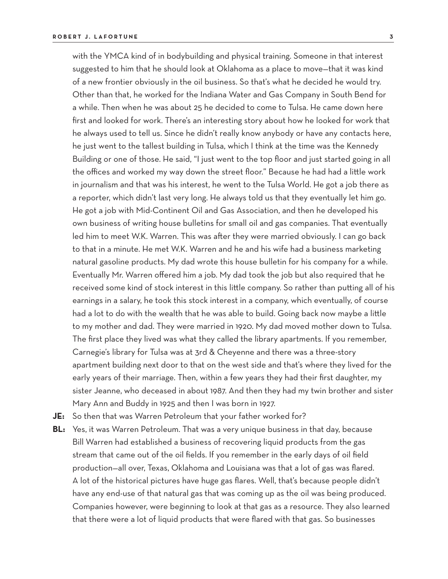with the YMCA kind of in bodybuilding and physical training. Someone in that interest suggested to him that he should look at Oklahoma as a place to move—that it was kind of a new frontier obviously in the oil business. So that's what he decided he would try. Other than that, he worked for the Indiana Water and Gas Company in South Bend for a while. Then when he was about 25 he decided to come to Tulsa. He came down here first and looked for work. There's an interesting story about how he looked for work that he always used to tell us. Since he didn't really know anybody or have any contacts here, he just went to the tallest building in Tulsa, which I think at the time was the Kennedy Building or one of those. He said, "I just went to the top floor and just started going in all the offices and worked my way down the street floor." Because he had had a little work in journalism and that was his interest, he went to the Tulsa World. He got a job there as a reporter, which didn't last very long. He always told us that they eventually let him go. He got a job with Mid-Continent Oil and Gas Association, and then he developed his own business of writing house bulletins for small oil and gas companies. That eventually led him to meet W.K. Warren. This was after they were married obviously. I can go back to that in a minute. He met W.K. Warren and he and his wife had a business marketing natural gasoline products. My dad wrote this house bulletin for his company for a while. Eventually Mr. Warren offered him a job. My dad took the job but also required that he received some kind of stock interest in this little company. So rather than putting all of his earnings in a salary, he took this stock interest in a company, which eventually, of course had a lot to do with the wealth that he was able to build. Going back now maybe a little to my mother and dad. They were married in 1920. My dad moved mother down to Tulsa. The first place they lived was what they called the library apartments. If you remember,

Carnegie's library for Tulsa was at 3rd & Cheyenne and there was a three-story apartment building next door to that on the west side and that's where they lived for the early years of their marriage. Then, within a few years they had their first daughter, my sister Jeanne, who deceased in about 1987. And then they had my twin brother and sister Mary Ann and Buddy in 1925 and then I was born in 1927.

**JE:** So then that was Warren Petroleum that your father worked for?

**BL:** Yes, it was Warren Petroleum. That was a very unique business in that day, because Bill Warren had established a business of recovering liquid products from the gas stream that came out of the oil fields. If you remember in the early days of oil field production—all over, Texas, Oklahoma and Louisiana was that a lot of gas was flared. A lot of the historical pictures have huge gas flares. Well, that's because people didn't have any end-use of that natural gas that was coming up as the oil was being produced. Companies however, were beginning to look at that gas as a resource. They also learned that there were a lot of liquid products that were flared with that gas. So businesses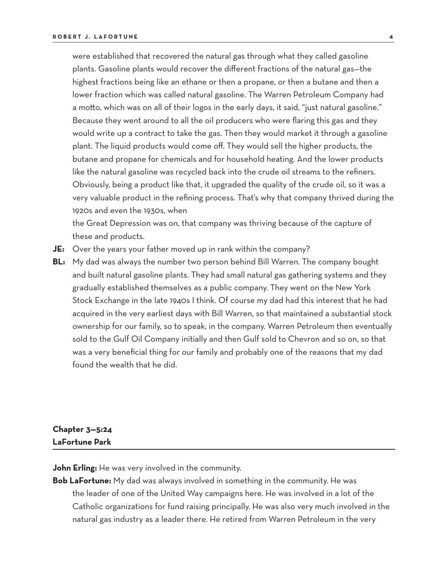were established that recovered the natural gas through what they called gasoline plants. Gasoline plants would recover the different fractions of the natural gas—the highest fractions being like an ethane or then a propane, or then a butane and then a lower fraction which was called natural gasoline. The Warren Petroleum Company had a motto, which was on all of their logos in the early days, it said, "just natural gasoline." Because they went around to all the oil producers who were flaring this gas and they would write up a contract to take the gas. Then they would market it through a gasoline plant. The liquid products would come off. They would sell the higher products, the butane and propane for chemicals and for household heating. And the lower products like the natural gasoline was recycled back into the crude oil streams to the refiners. Obviously, being a product like that, it upgraded the quality of the crude oil, so it was a very valuable product in the refining process. That's why that company thrived during the 1920s and even the 1930s, when

the Great Depression was on, that company was thriving because of the capture of these and products.

- **JE:** Over the years your father moved up in rank within the company?
- **BL:** My dad was always the number two person behind Bill Warren. The company bought and built natural gasoline plants. They had small natural gas gathering systems and they gradually established themselves as a public company. They went on the New York Stock Exchange in the late 1940s I think. Of course my dad had this interest that he had acquired in the very earliest days with Bill Warren, so that maintained a substantial stock ownership for our family, so to speak, in the company. Warren Petroleum then eventually sold to the Gulf Oil Company initially and then Gulf sold to Chevron and so on, so that was a very beneficial thing for our family and probably one of the reasons that my dad found the wealth that he did.

## **Chapter 3—5:24 LaFortune Park**

**John Erling:** He was very involved in the community.

**Bob LaFortune:** My dad was always involved in something in the community. He was the leader of one of the United Way campaigns here. He was involved in a lot of the Catholic organizations for fund raising principally. He was also very much involved in the natural gas industry as a leader there. He retired from Warren Petroleum in the very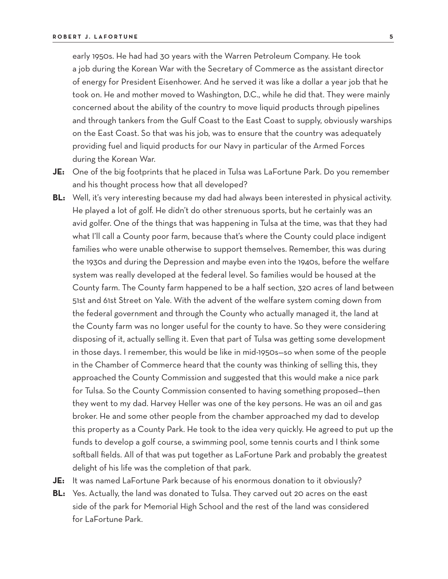early 1950s. He had had 30 years with the Warren Petroleum Company. He took a job during the Korean War with the Secretary of Commerce as the assistant director of energy for President Eisenhower. And he served it was like a dollar a year job that he took on. He and mother moved to Washington, D.C., while he did that. They were mainly concerned about the ability of the country to move liquid products through pipelines and through tankers from the Gulf Coast to the East Coast to supply, obviously warships on the East Coast. So that was his job, was to ensure that the country was adequately providing fuel and liquid products for our Navy in particular of the Armed Forces during the Korean War.

- **JE:** One of the big footprints that he placed in Tulsa was LaFortune Park. Do you remember and his thought process how that all developed?
- **BL:** Well, it's very interesting because my dad had always been interested in physical activity. He played a lot of golf. He didn't do other strenuous sports, but he certainly was an avid golfer. One of the things that was happening in Tulsa at the time, was that they had what I'll call a County poor farm, because that's where the County could place indigent families who were unable otherwise to support themselves. Remember, this was during the 1930s and during the Depression and maybe even into the 1940s, before the welfare system was really developed at the federal level. So families would be housed at the County farm. The County farm happened to be a half section, 320 acres of land between 51st and 61st Street on Yale. With the advent of the welfare system coming down from the federal government and through the County who actually managed it, the land at the County farm was no longer useful for the county to have. So they were considering disposing of it, actually selling it. Even that part of Tulsa was getting some development in those days. I remember, this would be like in mid-1950s—so when some of the people in the Chamber of Commerce heard that the county was thinking of selling this, they approached the County Commission and suggested that this would make a nice park for Tulsa. So the County Commission consented to having something proposed—then they went to my dad. Harvey Heller was one of the key persons. He was an oil and gas broker. He and some other people from the chamber approached my dad to develop this property as a County Park. He took to the idea very quickly. He agreed to put up the funds to develop a golf course, a swimming pool, some tennis courts and I think some softball fields. All of that was put together as LaFortune Park and probably the greatest delight of his life was the completion of that park.
- **JE:** It was named LaFortune Park because of his enormous donation to it obviously?
- **BL:** Yes. Actually, the land was donated to Tulsa. They carved out 20 acres on the east side of the park for Memorial High School and the rest of the land was considered for LaFortune Park.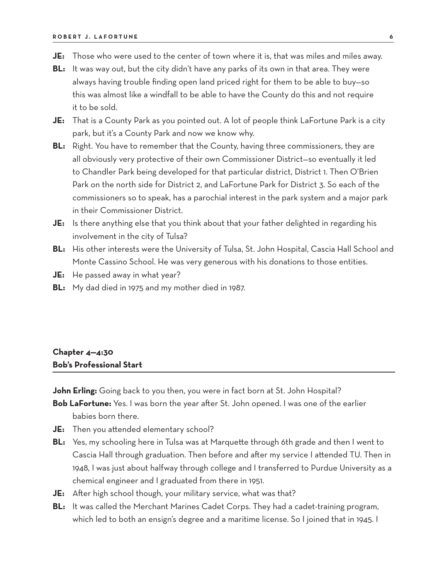- **JE:** Those who were used to the center of town where it is, that was miles and miles away.
- **BL:** It was way out, but the city didn't have any parks of its own in that area. They were always having trouble finding open land priced right for them to be able to buy—so this was almost like a windfall to be able to have the County do this and not require it to be sold.
- **JE:** That is a County Park as you pointed out. A lot of people think LaFortune Park is a city park, but it's a County Park and now we know why.
- **BL:** Right. You have to remember that the County, having three commissioners, they are all obviously very protective of their own Commissioner District—so eventually it led to Chandler Park being developed for that particular district, District 1. Then O'Brien Park on the north side for District 2, and LaFortune Park for District 3. So each of the commissioners so to speak, has a parochial interest in the park system and a major park in their Commissioner District.
- **JE:** Is there anything else that you think about that your father delighted in regarding his involvement in the city of Tulsa?
- **BL:** His other interests were the University of Tulsa, St. John Hospital, Cascia Hall School and Monte Cassino School. He was very generous with his donations to those entities.
- **JE:** He passed away in what year?
- **BL:** My dad died in 1975 and my mother died in 1987.

## **Chapter 4—4:30 Bob's Professional Start**

**John Erling:** Going back to you then, you were in fact born at St. John Hospital?

- **Bob LaFortune:** Yes. I was born the year after St. John opened. I was one of the earlier babies born there.
- **JE:** Then you attended elementary school?
- **BL:** Yes, my schooling here in Tulsa was at Marquette through 6th grade and then I went to Cascia Hall through graduation. Then before and after my service I attended TU. Then in 1948, I was just about halfway through college and I transferred to Purdue University as a chemical engineer and I graduated from there in 1951.
- **JE:** After high school though, your military service, what was that?
- **BL:** It was called the Merchant Marines Cadet Corps. They had a cadet-training program, which led to both an ensign's degree and a maritime license. So I joined that in 1945. I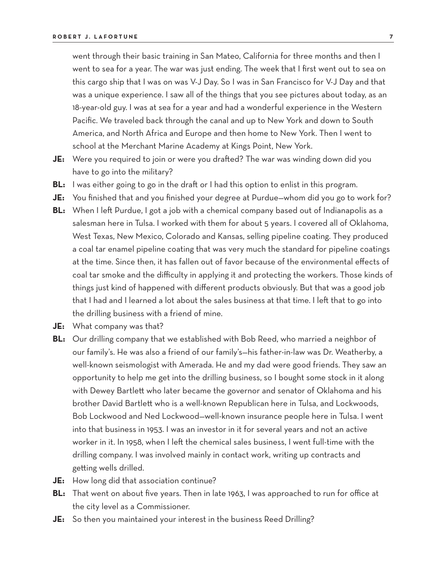went through their basic training in San Mateo, California for three months and then I went to sea for a year. The war was just ending. The week that I first went out to sea on this cargo ship that I was on was V-J Day. So I was in San Francisco for V-J Day and that was a unique experience. I saw all of the things that you see pictures about today, as an 18-year-old guy. I was at sea for a year and had a wonderful experience in the Western Pacific. We traveled back through the canal and up to New York and down to South America, and North Africa and Europe and then home to New York. Then I went to school at the Merchant Marine Academy at Kings Point, New York.

- **JE:** Were you required to join or were you drafted? The war was winding down did you have to go into the military?
- **BL:** I was either going to go in the draft or I had this option to enlist in this program.
- **JE:** You finished that and you finished your degree at Purdue—whom did you go to work for?
- **BL:** When I left Purdue, I got a job with a chemical company based out of Indianapolis as a salesman here in Tulsa. I worked with them for about 5 years. I covered all of Oklahoma, West Texas, New Mexico, Colorado and Kansas, selling pipeline coating. They produced a coal tar enamel pipeline coating that was very much the standard for pipeline coatings at the time. Since then, it has fallen out of favor because of the environmental effects of coal tar smoke and the difficulty in applying it and protecting the workers. Those kinds of things just kind of happened with different products obviously. But that was a good job that I had and I learned a lot about the sales business at that time. I left that to go into the drilling business with a friend of mine.
- **JE:** What company was that?
- **BL:** Our drilling company that we established with Bob Reed, who married a neighbor of our family's. He was also a friend of our family's—his father-in-law was Dr. Weatherby, a well-known seismologist with Amerada. He and my dad were good friends. They saw an opportunity to help me get into the drilling business, so I bought some stock in it along with Dewey Bartlett who later became the governor and senator of Oklahoma and his brother David Bartlett who is a well-known Republican here in Tulsa, and Lockwoods, Bob Lockwood and Ned Lockwood—well-known insurance people here in Tulsa. I went into that business in 1953. I was an investor in it for several years and not an active worker in it. In 1958, when I left the chemical sales business, I went full-time with the drilling company. I was involved mainly in contact work, writing up contracts and getting wells drilled.
- **JE:** How long did that association continue?
- **BL:** That went on about five years. Then in late 1963, I was approached to run for office at the city level as a Commissioner.
- **JE:** So then you maintained your interest in the business Reed Drilling?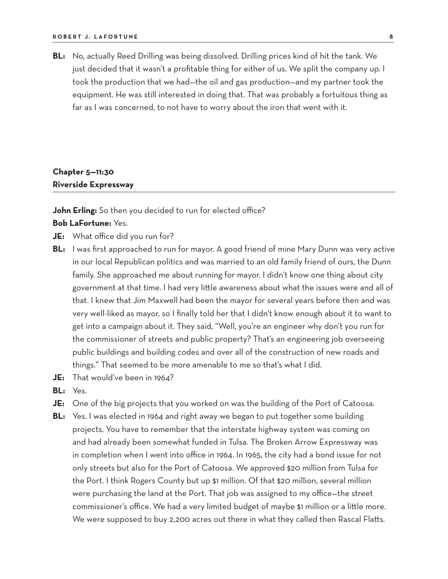**BL:** No, actually Reed Drilling was being dissolved. Drilling prices kind of hit the tank. We just decided that it wasn't a profitable thing for either of us. We split the company up. I took the production that we had—the oil and gas production—and my partner took the equipment. He was still interested in doing that. That was probably a fortuitous thing as far as I was concerned, to not have to worry about the iron that went with it.

# **Chapter 5—11:30 Riverside Expressway**

#### **John Erling:** So then you decided to run for elected office?

#### **Bob LaFortune:** Yes.

- **JE:** What office did you run for?
- **BL:** I was first approached to run for mayor. A good friend of mine Mary Dunn was very active in our local Republican politics and was married to an old family friend of ours, the Dunn family. She approached me about running for mayor. I didn't know one thing about city government at that time. I had very little awareness about what the issues were and all of that. I knew that Jim Maxwell had been the mayor for several years before then and was very well-liked as mayor, so I finally told her that I didn't know enough about it to want to get into a campaign about it. They said, "Well, you're an engineer why don't you run for the commissioner of streets and public property? That's an engineering job overseeing public buildings and building codes and over all of the construction of new roads and things." That seemed to be more amenable to me so that's what I did.
- **JE:** That would've been in 1964?
- **BL:** Yes.
- **JE:** One of the big projects that you worked on was the building of the Port of Catoosa.
- **BL:** Yes. I was elected in 1964 and right away we began to put together some building projects. You have to remember that the interstate highway system was coming on and had already been somewhat funded in Tulsa. The Broken Arrow Expressway was in completion when I went into office in 1964. In 1965, the city had a bond issue for not only streets but also for the Port of Catoosa. We approved \$20 million from Tulsa for the Port. I think Rogers County but up \$1 million. Of that \$20 million, several million were purchasing the land at the Port. That job was assigned to my office—the street commissioner's office. We had a very limited budget of maybe \$1 million or a little more. We were supposed to buy 2,200 acres out there in what they called then Rascal Flatts.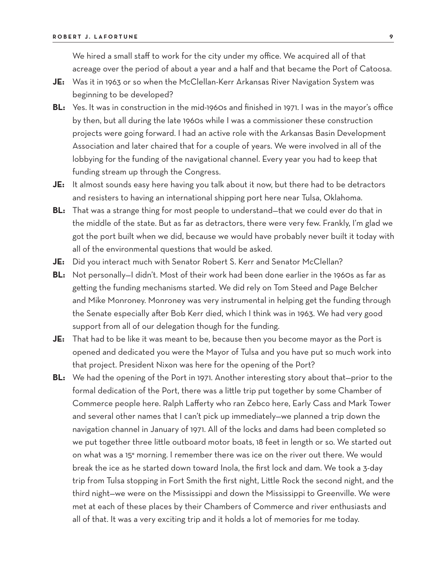We hired a small staff to work for the city under my office. We acquired all of that acreage over the period of about a year and a half and that became the Port of Catoosa.

- **JE:** Was it in 1963 or so when the McClellan-Kerr Arkansas River Navigation System was beginning to be developed?
- **BL:** Yes. It was in construction in the mid-1960s and finished in 1971. I was in the mayor's office by then, but all during the late 1960s while I was a commissioner these construction projects were going forward. I had an active role with the Arkansas Basin Development Association and later chaired that for a couple of years. We were involved in all of the lobbying for the funding of the navigational channel. Every year you had to keep that funding stream up through the Congress.
- **JE:** It almost sounds easy here having you talk about it now, but there had to be detractors and resisters to having an international shipping port here near Tulsa, Oklahoma.
- **BL:** That was a strange thing for most people to understand—that we could ever do that in the middle of the state. But as far as detractors, there were very few. Frankly, I'm glad we got the port built when we did, because we would have probably never built it today with all of the environmental questions that would be asked.
- **JE:** Did you interact much with Senator Robert S. Kerr and Senator McClellan?
- **BL:** Not personally—I didn't. Most of their work had been done earlier in the 1960s as far as getting the funding mechanisms started. We did rely on Tom Steed and Page Belcher and Mike Monroney. Monroney was very instrumental in helping get the funding through the Senate especially after Bob Kerr died, which I think was in 1963. We had very good support from all of our delegation though for the funding.
- **JE:** That had to be like it was meant to be, because then you become mayor as the Port is opened and dedicated you were the Mayor of Tulsa and you have put so much work into that project. President Nixon was here for the opening of the Port?
- **BL:** We had the opening of the Port in 1971. Another interesting story about that—prior to the formal dedication of the Port, there was a little trip put together by some Chamber of Commerce people here. Ralph Lafferty who ran Zebco here, Early Cass and Mark Tower and several other names that I can't pick up immediately—we planned a trip down the navigation channel in January of 1971. All of the locks and dams had been completed so we put together three little outboard motor boats, 18 feet in length or so. We started out on what was a 15° morning. I remember there was ice on the river out there. We would break the ice as he started down toward Inola, the first lock and dam. We took a 3-day trip from Tulsa stopping in Fort Smith the first night, Little Rock the second night, and the third night—we were on the Mississippi and down the Mississippi to Greenville. We were met at each of these places by their Chambers of Commerce and river enthusiasts and all of that. It was a very exciting trip and it holds a lot of memories for me today.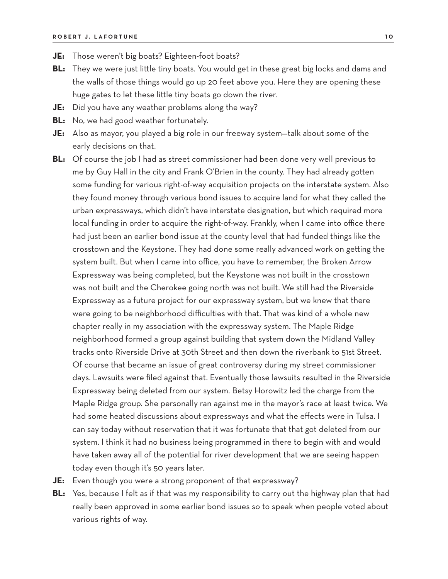- **JE:** Those weren't big boats? Eighteen-foot boats?
- **BL:** They we were just little tiny boats. You would get in these great big locks and dams and the walls of those things would go up 20 feet above you. Here they are opening these huge gates to let these little tiny boats go down the river.
- **JE:** Did you have any weather problems along the way?
- **BL:** No, we had good weather fortunately.
- **JE:** Also as mayor, you played a big role in our freeway system—talk about some of the early decisions on that.
- **BL:** Of course the job I had as street commissioner had been done very well previous to me by Guy Hall in the city and Frank O'Brien in the county. They had already gotten some funding for various right-of-way acquisition projects on the interstate system. Also they found money through various bond issues to acquire land for what they called the urban expressways, which didn't have interstate designation, but which required more local funding in order to acquire the right-of-way. Frankly, when I came into office there had just been an earlier bond issue at the county level that had funded things like the crosstown and the Keystone. They had done some really advanced work on getting the system built. But when I came into office, you have to remember, the Broken Arrow Expressway was being completed, but the Keystone was not built in the crosstown was not built and the Cherokee going north was not built. We still had the Riverside Expressway as a future project for our expressway system, but we knew that there were going to be neighborhood difficulties with that. That was kind of a whole new chapter really in my association with the expressway system. The Maple Ridge neighborhood formed a group against building that system down the Midland Valley tracks onto Riverside Drive at 30th Street and then down the riverbank to 51st Street. Of course that became an issue of great controversy during my street commissioner days. Lawsuits were filed against that. Eventually those lawsuits resulted in the Riverside Expressway being deleted from our system. Betsy Horowitz led the charge from the Maple Ridge group. She personally ran against me in the mayor's race at least twice. We had some heated discussions about expressways and what the effects were in Tulsa. I can say today without reservation that it was fortunate that that got deleted from our system. I think it had no business being programmed in there to begin with and would have taken away all of the potential for river development that we are seeing happen today even though it's 50 years later.
- **JE:** Even though you were a strong proponent of that expressway?
- **BL:** Yes, because I felt as if that was my responsibility to carry out the highway plan that had really been approved in some earlier bond issues so to speak when people voted about various rights of way.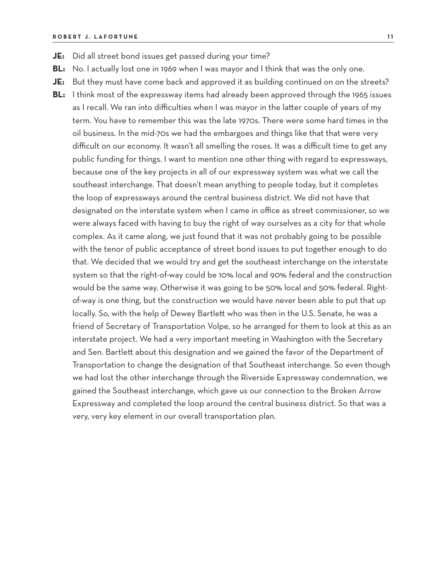- **JE:** Did all street bond issues get passed during your time?
- **BL:** No. I actually lost one in 1969 when I was mayor and I think that was the only one.
- **JE:** But they must have come back and approved it as building continued on on the streets?
- **BL:** I think most of the expressway items had already been approved through the 1965 issues as I recall. We ran into difficulties when I was mayor in the latter couple of years of my term. You have to remember this was the late 1970s. There were some hard times in the oil business. In the mid-70s we had the embargoes and things like that that were very difficult on our economy. It wasn't all smelling the roses. It was a difficult time to get any public funding for things. I want to mention one other thing with regard to expressways, because one of the key projects in all of our expressway system was what we call the southeast interchange. That doesn't mean anything to people today, but it completes the loop of expressways around the central business district. We did not have that designated on the interstate system when I came in office as street commissioner, so we were always faced with having to buy the right of way ourselves as a city for that whole complex. As it came along, we just found that it was not probably going to be possible with the tenor of public acceptance of street bond issues to put together enough to do that. We decided that we would try and get the southeast interchange on the interstate system so that the right-of-way could be 10% local and 90% federal and the construction would be the same way. Otherwise it was going to be 50% local and 50% federal. Rightof-way is one thing, but the construction we would have never been able to put that up locally. So, with the help of Dewey Bartlett who was then in the U.S. Senate, he was a friend of Secretary of Transportation Volpe, so he arranged for them to look at this as an interstate project. We had a very important meeting in Washington with the Secretary and Sen. Bartlett about this designation and we gained the favor of the Department of Transportation to change the designation of that Southeast interchange. So even though we had lost the other interchange through the Riverside Expressway condemnation, we gained the Southeast interchange, which gave us our connection to the Broken Arrow Expressway and completed the loop around the central business district. So that was a very, very key element in our overall transportation plan.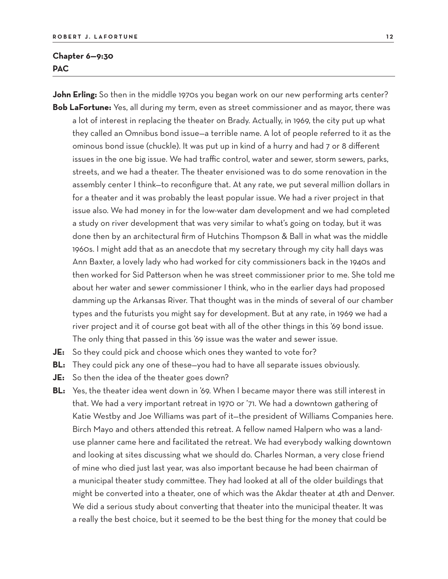### **Chapter 6—9:30 PAC**

John Erling: So then in the middle 1970s you began work on our new performing arts center? **Bob LaFortune:** Yes, all during my term, even as street commissioner and as mayor, there was

a lot of interest in replacing the theater on Brady. Actually, in 1969, the city put up what they called an Omnibus bond issue—a terrible name. A lot of people referred to it as the ominous bond issue (chuckle). It was put up in kind of a hurry and had 7 or 8 different issues in the one big issue. We had traffic control, water and sewer, storm sewers, parks, streets, and we had a theater. The theater envisioned was to do some renovation in the assembly center I think—to reconfigure that. At any rate, we put several million dollars in for a theater and it was probably the least popular issue. We had a river project in that issue also. We had money in for the low-water dam development and we had completed a study on river development that was very similar to what's going on today, but it was done then by an architectural firm of Hutchins Thompson & Ball in what was the middle 1960s. I might add that as an anecdote that my secretary through my city hall days was Ann Baxter, a lovely lady who had worked for city commissioners back in the 1940s and then worked for Sid Patterson when he was street commissioner prior to me. She told me about her water and sewer commissioner I think, who in the earlier days had proposed damming up the Arkansas River. That thought was in the minds of several of our chamber types and the futurists you might say for development. But at any rate, in 1969 we had a river project and it of course got beat with all of the other things in this '69 bond issue. The only thing that passed in this '69 issue was the water and sewer issue.

- **JE:** So they could pick and choose which ones they wanted to vote for?
- **BL:** They could pick any one of these—you had to have all separate issues obviously.
- **JE:** So then the idea of the theater goes down?
- BL: Yes, the theater idea went down in '69. When I became mayor there was still interest in that. We had a very important retreat in 1970 or '71. We had a downtown gathering of Katie Westby and Joe Williams was part of it—the president of Williams Companies here. Birch Mayo and others attended this retreat. A fellow named Halpern who was a landuse planner came here and facilitated the retreat. We had everybody walking downtown and looking at sites discussing what we should do. Charles Norman, a very close friend of mine who died just last year, was also important because he had been chairman of a municipal theater study committee. They had looked at all of the older buildings that might be converted into a theater, one of which was the Akdar theater at 4th and Denver. We did a serious study about converting that theater into the municipal theater. It was a really the best choice, but it seemed to be the best thing for the money that could be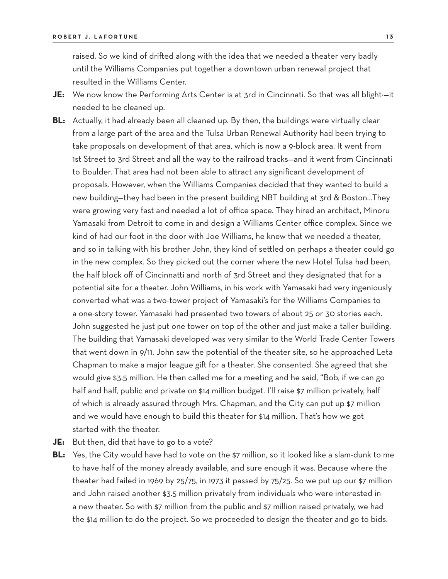raised. So we kind of drifted along with the idea that we needed a theater very badly until the Williams Companies put together a downtown urban renewal project that resulted in the Williams Center.

- JE: We now know the Performing Arts Center is at 3rd in Cincinnati. So that was all blight--it needed to be cleaned up.
- **BL:** Actually, it had already been all cleaned up. By then, the buildings were virtually clear from a large part of the area and the Tulsa Urban Renewal Authority had been trying to take proposals on development of that area, which is now a 9-block area. It went from 1st Street to 3rd Street and all the way to the railroad tracks—and it went from Cincinnati to Boulder. That area had not been able to attract any significant development of proposals. However, when the Williams Companies decided that they wanted to build a new building—they had been in the present building NBT building at 3rd & Boston…They were growing very fast and needed a lot of office space. They hired an architect, Minoru Yamasaki from Detroit to come in and design a Williams Center office complex. Since we kind of had our foot in the door with Joe Williams, he knew that we needed a theater, and so in talking with his brother John, they kind of settled on perhaps a theater could go in the new complex. So they picked out the corner where the new Hotel Tulsa had been, the half block off of Cincinnatti and north of 3rd Street and they designated that for a potential site for a theater. John Williams, in his work with Yamasaki had very ingeniously converted what was a two-tower project of Yamasaki's for the Williams Companies to a one-story tower. Yamasaki had presented two towers of about 25 or 30 stories each. John suggested he just put one tower on top of the other and just make a taller building. The building that Yamasaki developed was very similar to the World Trade Center Towers that went down in 9/11. John saw the potential of the theater site, so he approached Leta Chapman to make a major league gift for a theater. She consented. She agreed that she would give \$3.5 million. He then called me for a meeting and he said, "Bob, if we can go half and half, public and private on \$14 million budget. I'll raise \$7 million privately, half of which is already assured through Mrs. Chapman, and the City can put up \$7 million and we would have enough to build this theater for \$14 million. That's how we got started with the theater.
- **JE:** But then, did that have to go to a vote?
- **BL:** Yes, the City would have had to vote on the \$7 million, so it looked like a slam-dunk to me to have half of the money already available, and sure enough it was. Because where the theater had failed in 1969 by 25/75, in 1973 it passed by 75/25. So we put up our \$7 million and John raised another \$3.5 million privately from individuals who were interested in a new theater. So with \$7 million from the public and \$7 million raised privately, we had the \$14 million to do the project. So we proceeded to design the theater and go to bids.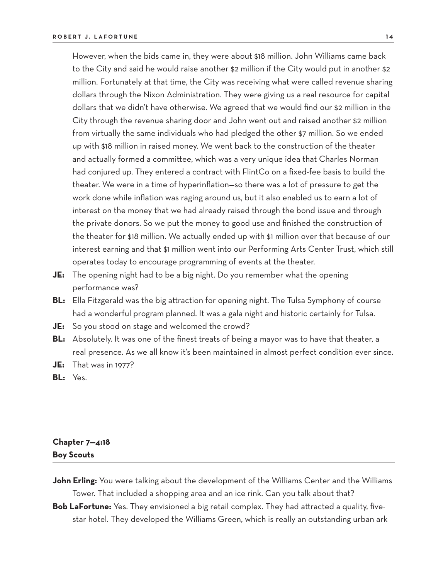However, when the bids came in, they were about \$18 million. John Williams came back to the City and said he would raise another \$2 million if the City would put in another \$2 million. Fortunately at that time, the City was receiving what were called revenue sharing dollars through the Nixon Administration. They were giving us a real resource for capital dollars that we didn't have otherwise. We agreed that we would find our \$2 million in the City through the revenue sharing door and John went out and raised another \$2 million from virtually the same individuals who had pledged the other \$7 million. So we ended up with \$18 million in raised money. We went back to the construction of the theater and actually formed a committee, which was a very unique idea that Charles Norman had conjured up. They entered a contract with FlintCo on a fixed-fee basis to build the theater. We were in a time of hyperinflation—so there was a lot of pressure to get the work done while inflation was raging around us, but it also enabled us to earn a lot of interest on the money that we had already raised through the bond issue and through the private donors. So we put the money to good use and finished the construction of the theater for \$18 million. We actually ended up with \$1 million over that because of our interest earning and that \$1 million went into our Performing Arts Center Trust, which still operates today to encourage programming of events at the theater.

- **JE:** The opening night had to be a big night. Do you remember what the opening performance was?
- **BL:** Ella Fitzgerald was the big attraction for opening night. The Tulsa Symphony of course had a wonderful program planned. It was a gala night and historic certainly for Tulsa.
- **JE:** So you stood on stage and welcomed the crowd?
- **BL:** Absolutely. It was one of the finest treats of being a mayor was to have that theater, a real presence. As we all know it's been maintained in almost perfect condition ever since.
- **JE:** That was in 1977?
- **BL:** Yes.

# **Chapter 7—4:18 Boy Scouts**

- **John Erling:** You were talking about the development of the Williams Center and the Williams Tower. That included a shopping area and an ice rink. Can you talk about that?
- **Bob LaFortune:** Yes. They envisioned a big retail complex. They had attracted a quality, fivestar hotel. They developed the Williams Green, which is really an outstanding urban ark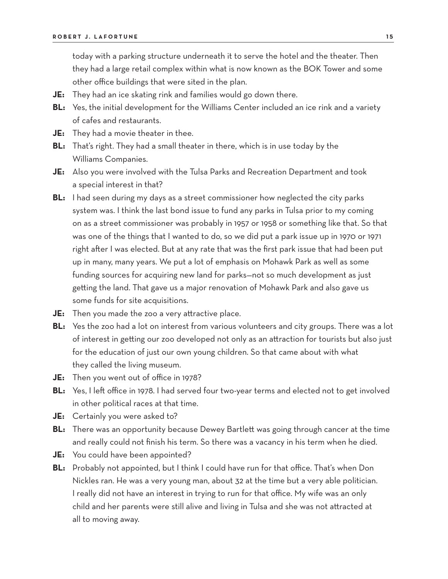today with a parking structure underneath it to serve the hotel and the theater. Then they had a large retail complex within what is now known as the BOK Tower and some other office buildings that were sited in the plan.

- **JE:** They had an ice skating rink and families would go down there.
- **BL:** Yes, the initial development for the Williams Center included an ice rink and a variety of cafes and restaurants.
- **JE:** They had a movie theater in thee.
- **BL:** That's right. They had a small theater in there, which is in use today by the Williams Companies.
- **JE:** Also you were involved with the Tulsa Parks and Recreation Department and took a special interest in that?
- **BL:** I had seen during my days as a street commissioner how neglected the city parks system was. I think the last bond issue to fund any parks in Tulsa prior to my coming on as a street commissioner was probably in 1957 or 1958 or something like that. So that was one of the things that I wanted to do, so we did put a park issue up in 1970 or 1971 right after I was elected. But at any rate that was the first park issue that had been put up in many, many years. We put a lot of emphasis on Mohawk Park as well as some funding sources for acquiring new land for parks—not so much development as just getting the land. That gave us a major renovation of Mohawk Park and also gave us some funds for site acquisitions.
- **JE:** Then you made the zoo a very attractive place.
- **BL:** Yes the zoo had a lot on interest from various volunteers and city groups. There was a lot of interest in getting our zoo developed not only as an attraction for tourists but also just for the education of just our own young children. So that came about with what they called the living museum.
- **JE:** Then you went out of office in 1978?
- **BL:** Yes, I left office in 1978. I had served four two-year terms and elected not to get involved in other political races at that time.
- **JE:** Certainly you were asked to?
- **BL:** There was an opportunity because Dewey Bartlett was going through cancer at the time and really could not finish his term. So there was a vacancy in his term when he died.
- **JE:** You could have been appointed?
- **BL:** Probably not appointed, but I think I could have run for that office. That's when Don Nickles ran. He was a very young man, about 32 at the time but a very able politician. I really did not have an interest in trying to run for that office. My wife was an only child and her parents were still alive and living in Tulsa and she was not attracted at all to moving away.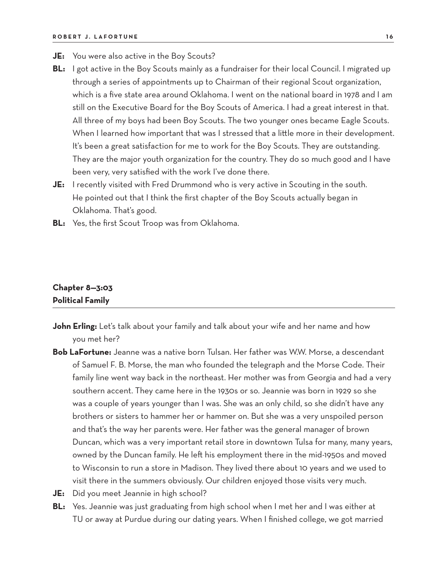- **JE:** You were also active in the Boy Scouts?
- **BL:** I got active in the Boy Scouts mainly as a fundraiser for their local Council. I migrated up through a series of appointments up to Chairman of their regional Scout organization, which is a five state area around Oklahoma. I went on the national board in 1978 and I am still on the Executive Board for the Boy Scouts of America. I had a great interest in that. All three of my boys had been Boy Scouts. The two younger ones became Eagle Scouts. When I learned how important that was I stressed that a little more in their development. It's been a great satisfaction for me to work for the Boy Scouts. They are outstanding. They are the major youth organization for the country. They do so much good and I have been very, very satisfied with the work I've done there.
- **JE:** I recently visited with Fred Drummond who is very active in Scouting in the south. He pointed out that I think the first chapter of the Boy Scouts actually began in Oklahoma. That's good.
- **BL:** Yes, the first Scout Troop was from Oklahoma.

## **Chapter 8—3:03 Political Family**

- John Erling: Let's talk about your family and talk about your wife and her name and how you met her?
- **Bob LaFortune:** Jeanne was a native born Tulsan. Her father was W.W. Morse, a descendant of Samuel F. B. Morse, the man who founded the telegraph and the Morse Code. Their family line went way back in the northeast. Her mother was from Georgia and had a very southern accent. They came here in the 1930s or so. Jeannie was born in 1929 so she was a couple of years younger than I was. She was an only child, so she didn't have any brothers or sisters to hammer her or hammer on. But she was a very unspoiled person and that's the way her parents were. Her father was the general manager of brown Duncan, which was a very important retail store in downtown Tulsa for many, many years, owned by the Duncan family. He left his employment there in the mid-1950s and moved to Wisconsin to run a store in Madison. They lived there about 10 years and we used to visit there in the summers obviously. Our children enjoyed those visits very much.
- **JE:** Did you meet Jeannie in high school?
- **BL:** Yes. Jeannie was just graduating from high school when I met her and I was either at TU or away at Purdue during our dating years. When I finished college, we got married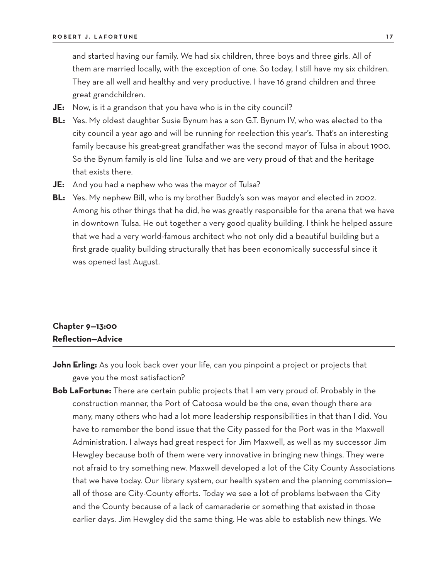and started having our family. We had six children, three boys and three girls. All of them are married locally, with the exception of one. So today, I still have my six children. They are all well and healthy and very productive. I have 16 grand children and three great grandchildren.

- **JE:** Now, is it a grandson that you have who is in the city council?
- **BL:** Yes. My oldest daughter Susie Bynum has a son G.T. Bynum IV, who was elected to the city council a year ago and will be running for reelection this year's. That's an interesting family because his great-great grandfather was the second mayor of Tulsa in about 1900. So the Bynum family is old line Tulsa and we are very proud of that and the heritage that exists there.
- **JE:** And you had a nephew who was the mayor of Tulsa?
- **BL:** Yes. My nephew Bill, who is my brother Buddy's son was mayor and elected in 2002. Among his other things that he did, he was greatly responsible for the arena that we have in downtown Tulsa. He out together a very good quality building. I think he helped assure that we had a very world-famous architect who not only did a beautiful building but a first grade quality building structurally that has been economically successful since it was opened last August.

## **Chapter 9—13:00 Reflection—Advice**

- **John Erling:** As you look back over your life, can you pinpoint a project or projects that gave you the most satisfaction?
- **Bob LaFortune:** There are certain public projects that I am very proud of. Probably in the construction manner, the Port of Catoosa would be the one, even though there are many, many others who had a lot more leadership responsibilities in that than I did. You have to remember the bond issue that the City passed for the Port was in the Maxwell Administration. I always had great respect for Jim Maxwell, as well as my successor Jim Hewgley because both of them were very innovative in bringing new things. They were not afraid to try something new. Maxwell developed a lot of the City County Associations that we have today. Our library system, our health system and the planning commission all of those are City-County efforts. Today we see a lot of problems between the City and the County because of a lack of camaraderie or something that existed in those earlier days. Jim Hewgley did the same thing. He was able to establish new things. We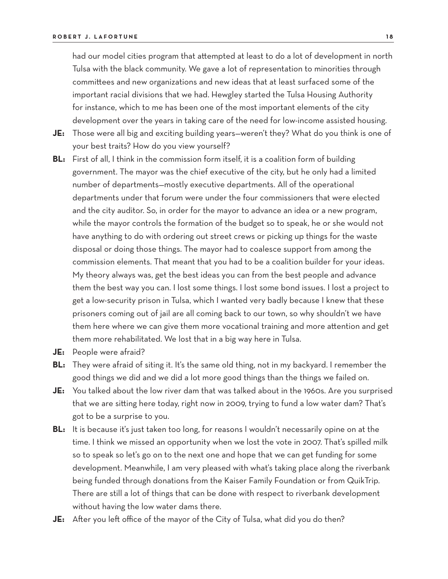had our model cities program that attempted at least to do a lot of development in north Tulsa with the black community. We gave a lot of representation to minorities through committees and new organizations and new ideas that at least surfaced some of the important racial divisions that we had. Hewgley started the Tulsa Housing Authority for instance, which to me has been one of the most important elements of the city development over the years in taking care of the need for low-income assisted housing.

- **JE:** Those were all big and exciting building years—weren't they? What do you think is one of your best traits? How do you view yourself?
- **BL:** First of all, I think in the commission form itself, it is a coalition form of building government. The mayor was the chief executive of the city, but he only had a limited number of departments—mostly executive departments. All of the operational departments under that forum were under the four commissioners that were elected and the city auditor. So, in order for the mayor to advance an idea or a new program, while the mayor controls the formation of the budget so to speak, he or she would not have anything to do with ordering out street crews or picking up things for the waste disposal or doing those things. The mayor had to coalesce support from among the commission elements. That meant that you had to be a coalition builder for your ideas. My theory always was, get the best ideas you can from the best people and advance them the best way you can. I lost some things. I lost some bond issues. I lost a project to get a low-security prison in Tulsa, which I wanted very badly because I knew that these prisoners coming out of jail are all coming back to our town, so why shouldn't we have them here where we can give them more vocational training and more attention and get them more rehabilitated. We lost that in a big way here in Tulsa.
- **JE:** People were afraid?
- **BL:** They were afraid of siting it. It's the same old thing, not in my backyard. I remember the good things we did and we did a lot more good things than the things we failed on.
- **JE:** You talked about the low river dam that was talked about in the 1960s. Are you surprised that we are sitting here today, right now in 2009, trying to fund a low water dam? That's got to be a surprise to you.
- **BL:** It is because it's just taken too long, for reasons I wouldn't necessarily opine on at the time. I think we missed an opportunity when we lost the vote in 2007. That's spilled milk so to speak so let's go on to the next one and hope that we can get funding for some development. Meanwhile, I am very pleased with what's taking place along the riverbank being funded through donations from the Kaiser Family Foundation or from QuikTrip. There are still a lot of things that can be done with respect to riverbank development without having the low water dams there.
- **JE:** After you left office of the mayor of the City of Tulsa, what did you do then?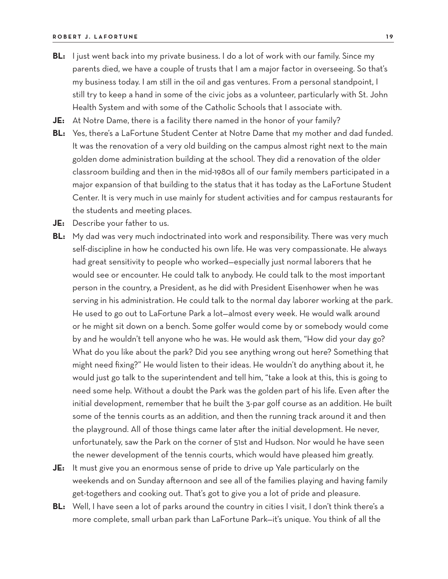- **BL:** I just went back into my private business. I do a lot of work with our family. Since my parents died, we have a couple of trusts that I am a major factor in overseeing. So that's my business today. I am still in the oil and gas ventures. From a personal standpoint, I still try to keep a hand in some of the civic jobs as a volunteer, particularly with St. John Health System and with some of the Catholic Schools that I associate with.
- **JE:** At Notre Dame, there is a facility there named in the honor of your family?
- **BL:** Yes, there's a LaFortune Student Center at Notre Dame that my mother and dad funded. It was the renovation of a very old building on the campus almost right next to the main golden dome administration building at the school. They did a renovation of the older classroom building and then in the mid-1980s all of our family members participated in a major expansion of that building to the status that it has today as the LaFortune Student Center. It is very much in use mainly for student activities and for campus restaurants for the students and meeting places.
- **JE:** Describe your father to us.
- **BL:** My dad was very much indoctrinated into work and responsibility. There was very much self-discipline in how he conducted his own life. He was very compassionate. He always had great sensitivity to people who worked—especially just normal laborers that he would see or encounter. He could talk to anybody. He could talk to the most important person in the country, a President, as he did with President Eisenhower when he was serving in his administration. He could talk to the normal day laborer working at the park. He used to go out to LaFortune Park a lot—almost every week. He would walk around or he might sit down on a bench. Some golfer would come by or somebody would come by and he wouldn't tell anyone who he was. He would ask them, "How did your day go? What do you like about the park? Did you see anything wrong out here? Something that might need fixing?" He would listen to their ideas. He wouldn't do anything about it, he would just go talk to the superintendent and tell him, "take a look at this, this is going to need some help. Without a doubt the Park was the golden part of his life. Even after the initial development, remember that he built the 3-par golf course as an addition. He built some of the tennis courts as an addition, and then the running track around it and then the playground. All of those things came later after the initial development. He never, unfortunately, saw the Park on the corner of 51st and Hudson. Nor would he have seen the newer development of the tennis courts, which would have pleased him greatly.
- **JE:** It must give you an enormous sense of pride to drive up Yale particularly on the weekends and on Sunday afternoon and see all of the families playing and having family get-togethers and cooking out. That's got to give you a lot of pride and pleasure.
- **BL:** Well, I have seen a lot of parks around the country in cities I visit, I don't think there's a more complete, small urban park than LaFortune Park—it's unique. You think of all the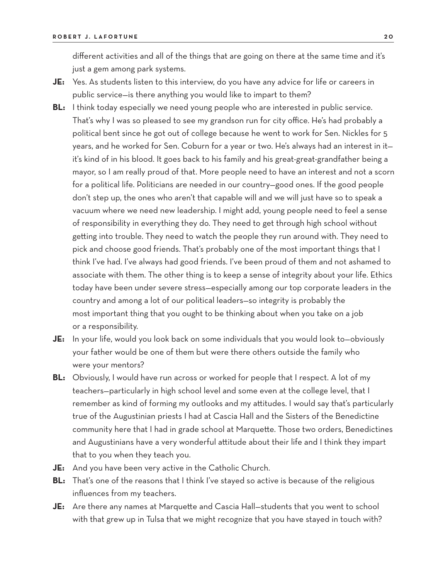different activities and all of the things that are going on there at the same time and it's just a gem among park systems.

- **JE:** Yes. As students listen to this interview, do you have any advice for life or careers in public service—is there anything you would like to impart to them?
- **BL:** I think today especially we need young people who are interested in public service. That's why I was so pleased to see my grandson run for city office. He's had probably a political bent since he got out of college because he went to work for Sen. Nickles for 5 years, and he worked for Sen. Coburn for a year or two. He's always had an interest in it it's kind of in his blood. It goes back to his family and his great-great-grandfather being a mayor, so I am really proud of that. More people need to have an interest and not a scorn for a political life. Politicians are needed in our country—good ones. If the good people don't step up, the ones who aren't that capable will and we will just have so to speak a vacuum where we need new leadership. I might add, young people need to feel a sense of responsibility in everything they do. They need to get through high school without getting into trouble. They need to watch the people they run around with. They need to pick and choose good friends. That's probably one of the most important things that I think I've had. I've always had good friends. I've been proud of them and not ashamed to associate with them. The other thing is to keep a sense of integrity about your life. Ethics today have been under severe stress—especially among our top corporate leaders in the country and among a lot of our political leaders—so integrity is probably the most important thing that you ought to be thinking about when you take on a job or a responsibility.
- **JE:** In your life, would you look back on some individuals that you would look to—obviously your father would be one of them but were there others outside the family who were your mentors?
- **BL:** Obviously, I would have run across or worked for people that I respect. A lot of my teachers—particularly in high school level and some even at the college level, that I remember as kind of forming my outlooks and my attitudes. I would say that's particularly true of the Augustinian priests I had at Cascia Hall and the Sisters of the Benedictine community here that I had in grade school at Marquette. Those two orders, Benedictines and Augustinians have a very wonderful attitude about their life and I think they impart that to you when they teach you.
- **JE:** And you have been very active in the Catholic Church.
- **BL:** That's one of the reasons that I think I've stayed so active is because of the religious influences from my teachers.
- **JE:** Are there any names at Marquette and Cascia Hall—students that you went to school with that grew up in Tulsa that we might recognize that you have stayed in touch with?